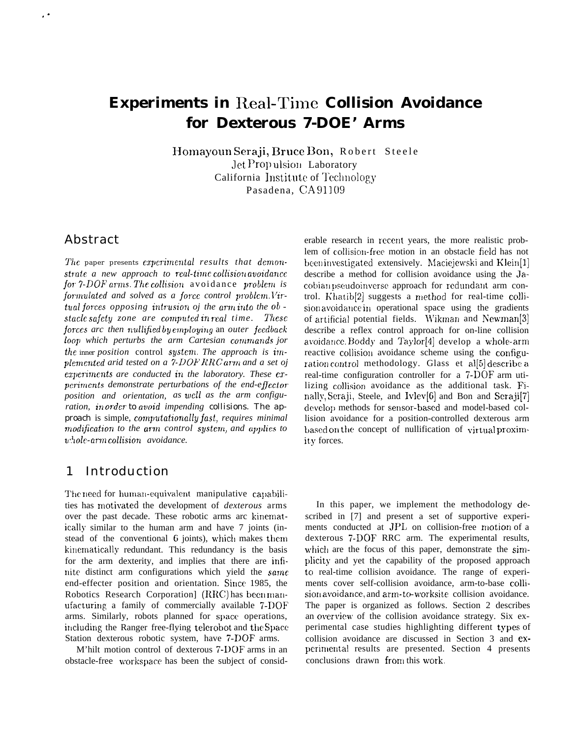# **Experiments in Real-Time Collision Avoidance** for Dexterous 7-DOE' Arms

Homayoun Seraji, Bruce Bon, Robert Steele Jet Propulsion Laboratory California Institute of Technology Pasadena, CA91109

#### Abstract

The paper presents experimental results that demonstrate a new approach to real-time collision avoidance for 7-DOF arms. The collision avoidance problem is formulated and solved as a force control problem. Virtual forces opposing intrusion of the arm into the obstacle safety zone are computed in real time. These forces arc then nullified by employing an outer feedback loop which perturbs the arm Cartesian commands jor the inner position control system. The approach is implemented arid tested on a 7-DOF RRC arm and a set of experiments are conducted in the laboratory. These experiments demonstrate perturbations of the end-effector position and orientation, as well as the arm configuration, in order to avoid impending collisions. The approach is simple, computationally fast, requires minimal modification to the arm control system, and applies to whole-arm collision avoidance.

#### Introduction  $\mathbf{1}$

The need for human-equivalent manipulative capabilities has motivated the development of *dexterous* arms over the past decade. These robotic arms arc kinematically similar to the human arm and have 7 joints (instead of the conventional 6 joints), which makes them kinematically redundant. This redundancy is the basis for the arm dexterity, and implies that there are infinite distinct arm configurations which yield the same end-effecter position and orientation. Since 1985, the Robotics Research Corporation] (RRC) has been manufacturing a family of commercially available 7-DOF arms. Similarly, robots planned for space operations, including the Ranger free-flying telerobot and the Space Station dexterous robotic system, have 7-DOF arms.

M'hilt motion control of dexterous 7-DOF arms in an obstacle-free workspace has been the subject of considerable research in recent years, the more realistic problem of collision-free motion in an obstacle field has not been investigated extensively. Maciejewski and Klein[1] describe a method for collision avoidance using the Jacobian pseudoinverse approach for redundant arm control. Khatib[2] suggests a method for real-time collision avoidance in operational space using the gradients of artificial potential fields. Wikman and Newman[3] describe a reflex control approach for on-line collision avoidance. Boddy and Taylor[4] develop a whole-arm reactive collision avoidance scheme using the configuration control methodology. Glass et also describe a real-time configuration controller for a 7-DOF arm utilizing collision avoidance as the additional task. Finally, Seraji, Steele, and Ivlev[6] and Bon and Seraji[7] develop methods for sensor-based and model-based collision avoidance for a position-controlled dexterous arm based on the concept of nullification of virtual proximity forces.

In this paper, we implement the methodology described in [7] and present a set of supportive experiments conducted at JPL on collision-free motion of a dexterous 7-DOF RRC arm. The experimental results, which are the focus of this paper, demonstrate the simplicity and yet the capability of the proposed approach to real-time collision avoidance. The range of experiments cover self-collision avoidance, arm-to-base collision avoidance, and arm-to-worksite collision avoidance. The paper is organized as follows. Section 2 describes an overview of the collision avoidance strategy. Six experimental case studies highlighting different types of collision avoidance are discussed in Section 3 and experimental results are presented. Section 4 presents conclusions drawn from this work.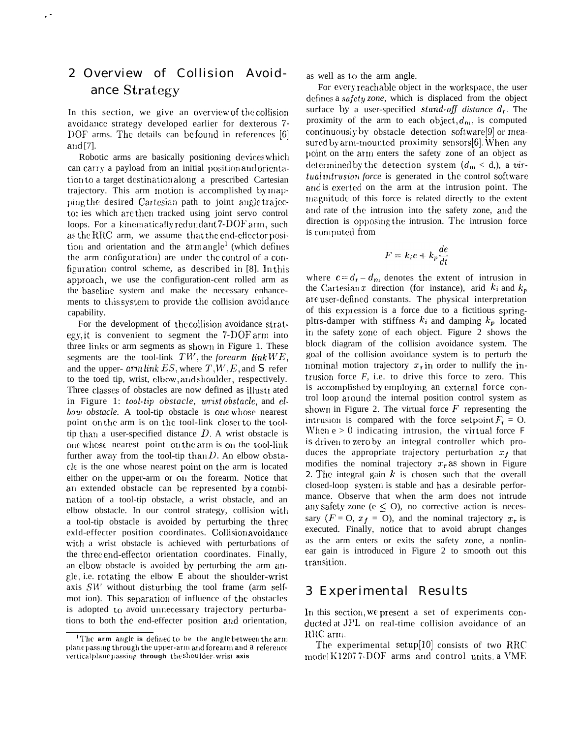# 2 Overview of Collision Avoidance Strategy

,"

In this section, we give an overview of the collision avoidance strategy developed earlier for dexterous 7-DOF arms. The details can be found in references [6] arid [7].

Robotic arms are basically positioning devices which can carry a payload from an initial position and orientation to a target destination along a prescribed Cartesian trajectory. This arm motion is accomplished by mapping the desired Cartesian path to joint angle trajector ies which are then tracked using joint servo control loops. For a kinematically redundant 7-DOF arm, such as the RRC arm, we assume that the end-effector position and orientation and the arm angle<sup>1</sup> (which defines the arm configuration) are under the control of a configuration control scheme, as described in  $[8]$ . In this approach, we use the configuration-cent rolled arm as the baseline system and make the necessary enhancements to this system to provide the collision avoid ance capability.

For the development of the collision avoidance strategy, it is convenient to segment the  $7\text{-}DOF$  arm into three links or arm segments as shown in Figure 1. These segments are the tool-link  $TW$ , the *forearm link WE*, and the upper-  $arm link ES$ , where  $T, W, E$ , and S refer to the toed tip, wrist, elbow, and shoulder, respectively. Three classes of obstacles are now defined as illustrated in Figure 1: too/-tip *obstacle, wrist obstacle,* and elbow obstacle. A tool-tip obstacle is one whose nearest point on the arm is on the tool-link closer to the tooltip than a user-specified distance  $D$ . A wrist obstacle is one whose nearest point on the arm is on the tool-link further away from the tool-tip than  $D$ . An elbow obstacle is the one whose nearest point on the arm is located either on the upper-arm or on the forearm. Notice that an extended obstacle can be represented by a combination of a tool-tip obstacle, a wrist obstacle, and an elbow obstacle. In our control strategy, collision with a tool-tip obstacle is avoided by perturbing the three exld-effecter position coordinates. Collision avoidance with a wrist obstacle is achieved with perturbations of the three end-effector orientation coordinates. Finally, an elbow obstacle is avoided by perturbing the arm  $a\mathbf{1}$ gle, i.e. rotating the elbow  $E$  about the shoulder-wrist axis  $SW$  without disturbing the tool frame (arm selfmot ion). This separation of influence of the obstacles is adopted to avoid unnecessary trajectory perturbations to both the end-effecter position and orientation,

as well as to the arm angle.

For every reachable object in the workspace, the user defines a *safety zone*, which is displaced from the object surface by a user-specified *stand-off* distance  $d_r$ . The proximity of the arm to each object,  $d_m$ , is computed continuously by obstacle detection software[9] or measured by arm-mounted proximity sensors $[6]$ . When any point on the arm enters the safety zone of an object as determined by the detection system  $(d_m < d_i)$ , a vir*tual intrusion force* is generated in the control software and is exerted on the arm at the intrusion point. The magnitude of this force is related directly to the extent and rate of the intrusion into the safety zone, and the direction is opposing the intrusion. The intrusion force is computed from

$$
F = k_i e + k_p \frac{de}{dt}
$$

where  $e = d_r - d_m$  denotes the extent of intrusion in the Cartesian x direction (for instance), arid  $k_i$  and  $k_p$ are user-defined constants. The physical interpretation of this expression is a force due to a fictitious springpltrs-damper with stiffness  $k_i$  and damping  $k_p$  located in the safety zone of each object. Figure 2 shows the block diagram of the collision avoidance system. The goal of the collision avoidance system is to perturb the nominal motion trajectory  $x_r$  in order to nullify the intrusion force  $F$ , i.e. to drive this force to zero. This is accomplished by employing an external force control loop around the internal position control system as shown in Figure 2. The virtual force  $F$  representing the intrusion is compared with the force setpoint  $F_r = 0$ . When  $e > 0$  indicating intrusion, the virtual force *F is* driven to zero by an integral controller which produces the appropriate trajectory perturbation  $x_f$  that modifies the nominal trajectory  $x_r$  as shown in Figure 2. The integral gain  $k$  is chosen such that the overall closed-loop system is stable and has a desirable performance. Observe that when the arm does not intrude any safety zone ( $e \leq O$ ), no corrective action is necessary  $(F = 0, x<sub>f</sub> = 0)$ , and the nominal trajectory  $x<sub>r</sub>$  is executed. Finally, notice that to avoid abrupt changes as the arm enters or exits the safety zone, a nonlinear gain is introduced in Figure 2 to smooth out this transition.

#### 3 Experimental Results

In this section, we present a set of experiments conducted at JPL on real-time collision avoidance of an RRC arm.

The experimental setup[lO] consists of two RRC mode!  $K1207$  7-DOF arms and control units, a VME

<sup>&</sup>lt;sup>1</sup>The arm angle is defined to be the angle between the arm platie passing through the upper-arm and forearm and a reference vertical plane passing through the shoulder-wrist axis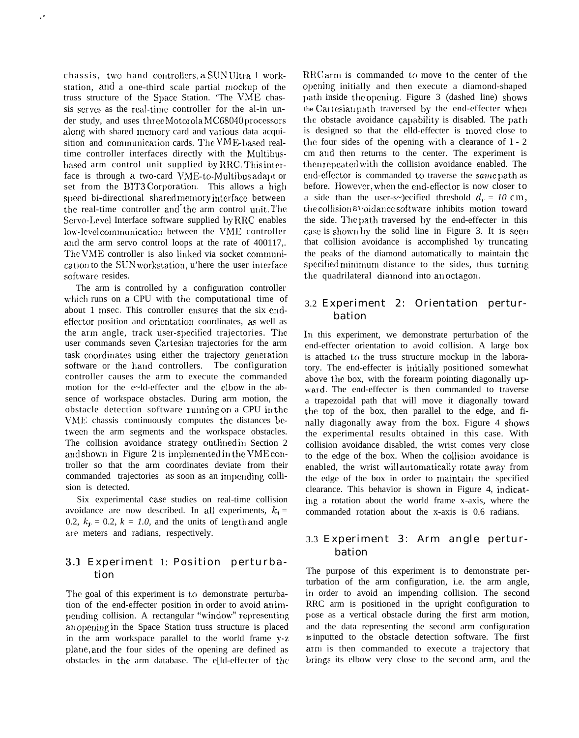chassis, two hand controllers, a SUN Ultra 1 workstation, and a one-third scale partial mockup of the truss structure of the Space Station. 'The VME chassis serves as the real-time controller for the al-in under study, and uses three Motorola MC68040 processors along with shared memory card and various data acquisition and communication cards. The  $VME$ -based realtime controller interfaces directly with the Multibusbased arm control unit supplied by RRC. This interface is through a two-card VME-to-Multibus adapt or set from the BIT3 Corporation. This allows a high speed bi-directional shared memory interface between the real-time controller and the arm control unit. The Servo-Level Interface software supplied by RRC enables low-level communication between the VME controller arid the arm servo control loops at the rate of 400117,. The VME controller is also linked via socket communication to the SUN workstation, u'here the user interface software resides.

,.

The arm is controlled by a configuration controller which runs on a CPU with the computational time of about 1 msec. This controller ensures that the six endeffector position and orientation coordinates, as well as the arm angle, track user-specified trajectories. The user commands seven Cartesian trajectories for the arm task coordinates using either the trajectory generation software or the hand controllers. The configuration controller causes the arm to execute the commanded motion for the e~ld-effecter and the elbow in the absence of workspace obstacles. During arm motion, the obstacle detection software running on a CPU in the \ThIE chassis continuously computes the distances between the arm segments and the workspace obstacles. The collision avoidance strategy outlined in Section 2 and shown in Figure  $2$  is implemented in the VME controller so that the arm coordinates deviate from their commanded trajectories as soon as an impending collision is detected.

Six experimental case studies on real-time collision avoidance are now described. In all experiments,  $k_i =$ 0.2,  $k_p = 0.2$ ,  $k = 1.0$ , and the units of length and angle arc meters and radians, respectively.

#### 3.1 Experiment 1: Position perturbation

The goal of this experiment is to demonstrate perturbation of the end-effecter position in order to avoid an impending collision. A rectangular "window" representing an opening in the Space Station truss structure is placed in the arm workspace parallel to the world frame y-z plane, and the four sides of the opening are defined as obstacles in the arm database. The e[ld-effecter of the  $RRCarm$  is commanded to move to the center of the opening initially and then execute a diamond-shaped path inside the opening. Figure 3 (dashed line) shows the Cartesian path traversed by the end-effecter when the obstacle avoidance capability is disabled. The path is designed so that the elld-effecter is moved close to the four sides of the opening with a clearance of  $1 - 2$ cm and then returns to the center. The experiment is then repeated with the collision avoidance enabled. The end-effector is commanded to traverse the *same* path as before. However, when the end-effector is now closer to a side than the user-s~)ecified threshold  $d_r = 10$  cm, the collision  $a$  'oidance software inhibits motion toward the side. The path traversed by the end-effecter in this case is shown by the solid line in Figure 3. It is seen that collision avoidance is accomplished by truncating the peaks of the diamond automatically to maintain the specified minimum distance to the sides, thus turning the quadrilateral diamond into an octagon.

#### 3.2 Experiment 2: Orientation perturbation

In this experiment, we demonstrate perturbation of the end-effecter orientation to avoid collision. A large box is attached to the truss structure mockup in the laboratory. The end-effecter is initially positioned somewhat above the box, with the forearm pointing diagonally upward. The end-effecter is then commanded to traverse a trapezoidal path that will move it diagonally toward the top of the box, then parallel to the edge, and finally diagonally away from the box. Figure 4 shows the experimental results obtained in this case. With collision avoidance disabled, the wrist comes very close to the edge of the box. When the collision avoidance is enabled, the wrist will automatically rotate away from the edge of the box in order to maintain the specified clearance. This behavior is shown in Figure 4, indicating a rotation about the world frame x-axis, where the commanded rotation about the x-axis is 0.6 radians.

#### 3.3 Experiment 3: Arm angle perturbation

The purpose of this experiment is to demonstrate perturbation of the arm configuration, i.e. the arm angle, in order to avoid an impending collision. The second RRC arm is positioned in the upright configuration to pose as a vertical obstacle during the first arm motion, and the data representing the second arm configuration is inputted to the obstacle detection software. The first arm is then commanded to execute a trajectory that brings its elbow very close to the second arm, and the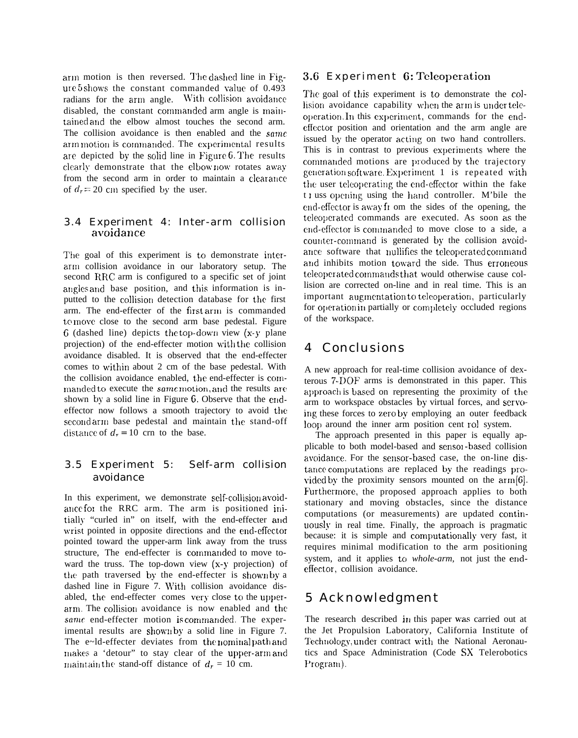arm motion is then reversed. The dashed line in Figure  $5$  shows the constant commanded value of 0.493 radians for the arm angle. With collision avoidance disabled, the constant commanded arm angle is maintained and the elbow almost touches the second arm. The collision avoidance is then enabled and the same arm motion is commanded. The experimental results are depicted by the solid line in Figure 6. The results clearly demonstrate that the elbow now rotates away from the second arm in order to maintain a clearance of  $d<sub>r</sub> = 20$  cm specified by the user.

#### 3.4 Experiment 4: Inter-arm collision avoidance

The goal of this experiment is to demonstrate interarm collision avoidance in our laboratory setup. The second RRC arm is configured to a specific set of joint angles and base position, and this information is inputted to the collision detection database for the first arm. The end-effecter of the first arm is commanded to move close to the second arm base pedestal. Figure 6 (dashed line) depicts the top-down view  $(x-y)$  plane projection) of the end-effecter motion with the collision avoidance disabled. It is observed that the end-effecter comes to w'ithin about 2 cm of the base pedestal. With the collision avoidance enabled, the end-effecter is commanded to execute the same motion, and the results are shown by a solid line in Figure 6. Observe that the endeffector now follows a smooth trajectory to avoid the second arm base pedestal and maintain the stand-off distance of  $d_r = 10$  crn to the base.

#### 3.5 Experiment 5: Self-arm collision avoidance

In this experiment, we demonstrate self-collision avoidance for the RRC arm. The arm is positioned initially "curled in" on itself, with the end-effecter arid wrist pointed in opposite directions and the end-effector pointed toward the upper-arm link away from the truss structure, The end-effecter is commanded to move toward the truss. The top-down view (x-y projection) of the path traversed by the end-effecter is shown by a dashed line in Figure 7. W'ith collision avoidance disabled, the end-effecter comes very close to the upperarm. The collision avoidance is now enabled and the  $same$  end-effecter motion is commanded. The experimental results are shown by a solid line in Figure 7. The e~ld-effecter deviates from the nominal path and makes a 'detour" to stay clear of the upper-arm and maintain the stand-off distance of  $d_r = 10$  cm.

#### 3.6 Experiment 6: Teleoperation

The goal of this experiment is to demonstrate the collision avoidance capability when the arm is under teleoperation. In this experiment, commands for the endeffector position and orientation and the arm angle are issued by the operator acting on two hand controllers. This is in contrast to previous experiments where the commanded motions are produced by the trajectory generation software. Experiment  $1$  is repeated with the user teleoperating the end-effector within the fake t I uss opening using the hand controller. M'bile the end-effector is away fi om the sides of the opening, the teleoperated commands are executed. As soon as the end-effector is commanded to move close to a side, a counter-command is generated by the collision avoidance software that nullifies the teleoperated command and inhibits motion toward the side. Thus erroneous teleoperated commands that would otherwise cause collision are corrected on-line and in real time. This is an important augmentation to teleoperation, particularly for operation in partially or completely occluded regions of the workspace.

### 4 Conclusions

A new approach for real-time collision avoidance of dexterous 7-DOF arms is demonstrated in this paper. This approach is based on representing the proximity of the arm to workspace obstacles by virtual forces, and servoing these forces to zero by employing an outer feedback loop around the inner arm position cent rol system.

The approach presented in this paper is equally applicable to both model-based and sensor-based collision avoidance. For the sensor-based case, the on-line distance computations are replaced by the readings pro- $\vee$  vided by the proximity sensors mounted on the arm [6]. Furthermore, the proposed approach applies to both stationary and moving obstacles, since the distance computations (or measurements) are updated continuously in real time. Finally, the approach is pragmatic because: it is simple and computationally very fast, it requires minimal modification to the arm positioning system, and it applies to *whole-arm*, not just the endeffector, collision avoidance.

## 5 Acknowledgment

The research described in this paper was carried out at the Jet Propulsion Laboratory, California Institute of Technology, under contract with the National Aeronautics and Space Administration (Code SX Telerobotics Program).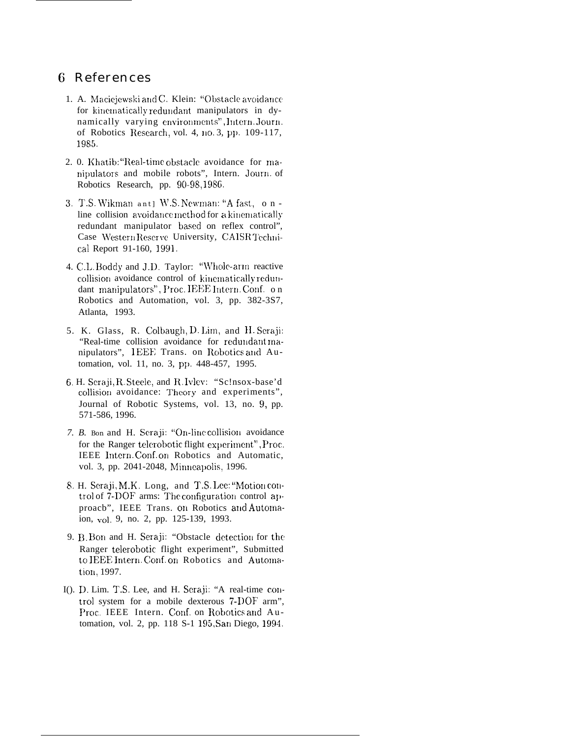#### 6 References

- 1. A. Maciejewski and C. Klein: "Obstacle avoidance for kinematically redundant manipulators in dynamically varying environments", Intern. Journ. of Robotics Research, vol. 4, no. 3, pp. 109-117, 1985.
- 2. 0. Khatib: "Real-time obstacle avoidance for manipulators and mobile robots", Intern. Journ. of Robotics Research, pp. 90-98,1986.
- 3. T.S. Wikman ant] W.S. Newman: "A fast, online collision avoidance method for a kinematically redundant manipulator based on reflex control", Case Western Reserve University, CAISR Technical Report 91-160, 1991.
- 4. C.L. Boddy and J.D. Taylor: "Whole-arm reactive collision avoidance control of kinematically redundant manipulators", Proc. IEEE Intern. Conf. on Robotics and Automation, vol. 3, pp. 382-3S7, Atlanta, 1993.
- 5. K. Glass, R. Colbaugh, D. Lim, and H. Seraji: "Real-time collision avoidance for redundant manipulators", IEEE Trans. on Robotics and Automation, vol. 11, no. 3, pp. 448-457, 1995.
- 6. H. Seraji, R. Steele, and R. Ivlev: "Sc!nsox-base'd collision avoidance: Theory and experiments", Journal of Robotic Systems, vol. 13, no. 9, pp. 571-586, 1996.
- 7. B. Bon and H. Seraji: "On-line collision avoidance for the Ranger telerobotic flight experiment", Proc. IEEE Intern. Conf. on Robotics and Automatic, vol. 3, pp. 2041-2048, Minneapolis, 1996.
- 8. H. Seraji, M.K. Long, and T.S. Lee: "Motion control of 7-DOF arms: The configuration control approacb", IEEE Trans. on Robotics and Automaion, vol. 9, no. 2, pp. 125-139, 1993.
- 9. B. Bon and H. Seraji: "Obstacle detection for the Ranger telerobotic flight experiment", Submitted to IEEE Intern. Conf. on Robotics and Automation, 1997.
- I(). D. Lim. T.S. Lee, and H. Seraji: "A real-time control system for a mobile dexterous 7-DOF arm", Proc. IEEE Intern. Conf. on Robotics and Automation, vol. 2, pp. 118 S-1 195, San Diego, 1994.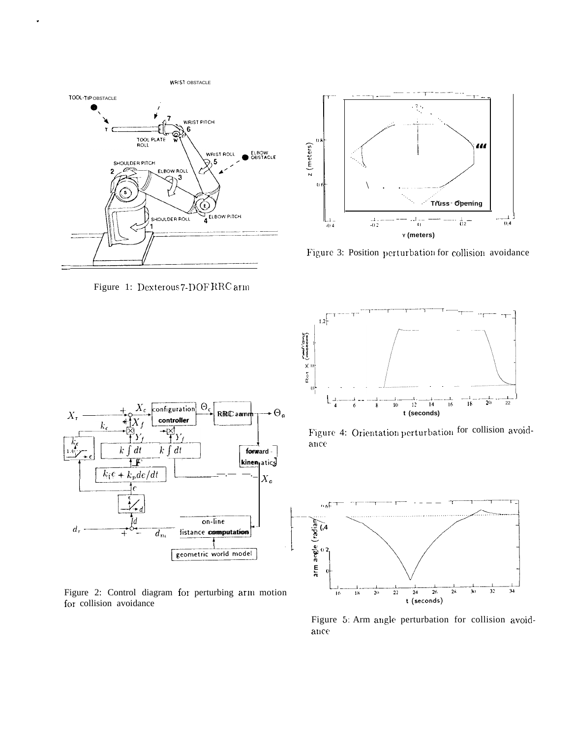

Figure 1: Dexterous 7-DOF RRC arm



Figure 2: Control diagram for perturbing arm motion for collision avoidance



Figure 3: Position perturbation for collision avoidance



Figure 4: Orientation perturbation for collision avoid- $\rm ance$ 



Figure 5: Arm angle perturbation for collision avoid $ance$